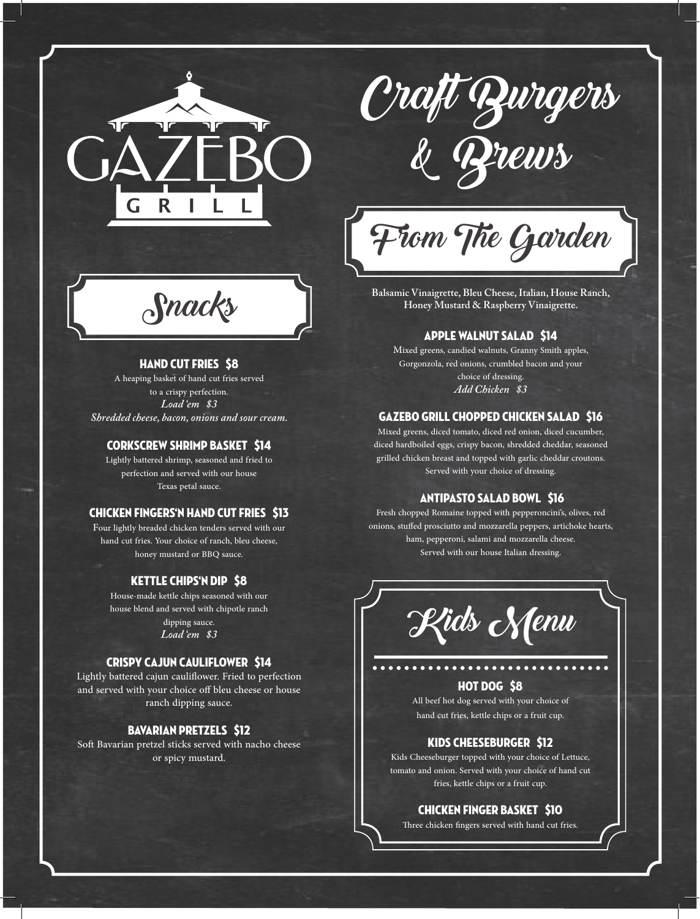

Craft Burgers & Brews

From The Garden

**Balsamic Vinaigrette, Bleu Cheese, Italian, House Ranch, Honey Mustard & Raspberry Vinaigrette.**

# Apple Walnut Salad \$14

Mixed greens, candied walnuts, Granny Smith apples, Gorgonzola, red onions, crumbled bacon and your choice of dressing. *Add Chicken \$3*

#### Gazebo Grill Chopped Chicken Salad \$16

Mixed greens, diced tomato, diced red onion, diced cucumber, diced hardboiled eggs, crispy bacon, shredded cheddar, seasoned grilled chicken breast and topped with garlic cheddar croutons. Served with your choice of dressing.

#### Antipasto Salad Bowl \$16

Fresh chopped Romaine topped with pepperoncini's, olives, red onions, stuffed prosciutto and mozzarella peppers, artichoke hearts, ham, pepperoni, salami and mozzarella cheese. Served with our house Italian dressing.



# Hot Dog \$8

All beef hot dog served with your choice of hand cut fries, kettle chips or a fruit cup.

#### Kids Cheeseburger \$12

Kids Cheeseburger topped with your choice of Lettuce, tomato and onion. Served with your choice of hand cut fries, kettle chips or a fruit cup.

#### Chicken Finger Basket \$10

Three chicken fingers served with hand cut fries.

Snacks

#### HAND CUT FRIES \$8

A heaping basket of hand cut fries served to a crispy perfection. *Load 'em \$3 Shredded cheese, bacon, onions and sour cream.*

## Corkscrew Shrimp Basket \$14

Lightly battered shrimp, seasoned and fried to perfection and served with our house Texas petal sauce.

#### Chicken Fingers'n Hand Cut Fries \$13

Four lightly breaded chicken tenders served with our hand cut fries. Your choice of ranch, bleu cheese, honey mustard or BBQ sauce.

#### Kettle Chips'n Dip \$8

House-made kettle chips seasoned with our house blend and served with chipotle ranch dipping sauce.

*Load 'em \$3*

#### Crispy Cajun Cauliflower \$14

Lightly battered cajun cauliflower. Fried to perfection and served with your choice off bleu cheese or house ranch dipping sauce.

# Bavarian Pretzels \$12

Soft Bavarian pretzel sticks served with nacho cheese or spicy mustard.